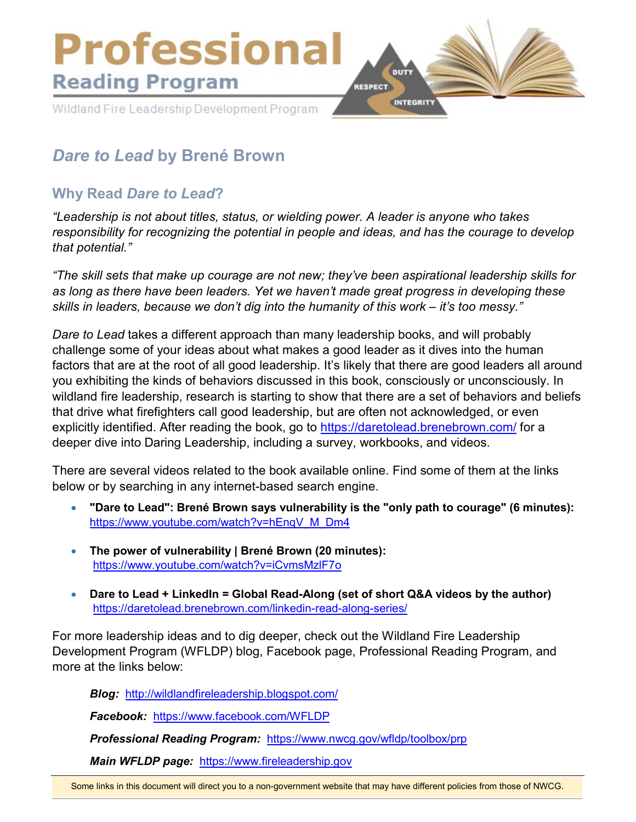

# *Dare to Lead* **by Brené Brown**

# **Why Read** *Dare to Lead***?**

*"Leadership is not about titles, status, or wielding power. A leader is anyone who takes responsibility for recognizing the potential in people and ideas, and has the courage to develop that potential."*

*"The skill sets that make up courage are not new; they've been aspirational leadership skills for as long as there have been leaders. Yet we haven't made great progress in developing these skills in leaders, because we don't dig into the humanity of this work – it's too messy."*

*Dare to Lead* takes a different approach than many leadership books, and will probably challenge some of your ideas about what makes a good leader as it dives into the human factors that are at the root of all good leadership. It's likely that there are good leaders all around you exhibiting the kinds of behaviors discussed in this book, consciously or unconsciously. In wildland fire leadership, research is starting to show that there are a set of behaviors and beliefs that drive what firefighters call good leadership, but are often not acknowledged, or even explicitly identified. After reading the book, go to <https://daretolead.brenebrown.com/> for a deeper dive into Daring Leadership, including a survey, workbooks, and videos.

There are several videos related to the book available online. Find some of them at the links below or by searching in any internet-based search engine.

- **"Dare to Lead": Brené Brown says vulnerability is the "only path to courage" (6 minutes):** [https://www.youtube.com/watch?v=hEnqV\\_M\\_Dm4](https://www.youtube.com/watch?v=hEnqV_M_Dm4)
- **The power of vulnerability | Brené Brown (20 minutes):** <https://www.youtube.com/watch?v=iCvmsMzlF7o>
- **Dare to Lead + LinkedIn = Global Read-Along (set of short Q&A videos by the author)** <https://daretolead.brenebrown.com/linkedin-read-along-series/>

For more leadership ideas and to dig deeper, check out the Wildland Fire Leadership Development Program (WFLDP) blog, Facebook page, Professional Reading Program, and more at the links below:

*Blog:* <http://wildlandfireleadership.blogspot.com/>

*Facebook:* <https://www.facebook.com/WFLDP>

*Professional Reading Program:* <https://www.nwcg.gov/wfldp/toolbox/prp>

*Main WFLDP page:* [https://www.fireleadership.gov](https://www.fireleadership.gov/)